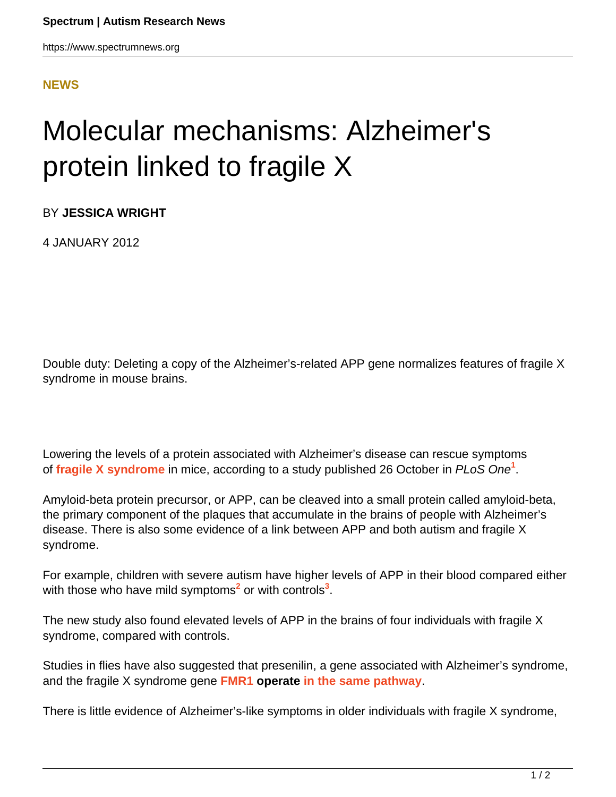https://www.spectrumnews.org

## **[NEWS](HTTPS://WWW.SPECTRUMNEWS.ORG/NEWS/)**

## Molecular mechanisms: Alzheimer's protein linked to fragile X

BY **JESSICA WRIGHT**

4 JANUARY 2012

Double duty: Deleting a copy of the Alzheimer's-related APP gene normalizes features of fragile X syndrome in mouse brains.

Lowering the levels of a protein associated with Alzheimer's disease can rescue symptoms of **[fragile X syndrome](https://www.spectrumnews.org/wiki/fragile-x)** in mice, according to a study published 26 October in PLoS One**<sup>1</sup>** .

Amyloid-beta protein precursor, or APP, can be cleaved into a small protein called amyloid-beta, the primary component of the plaques that accumulate in the brains of people with Alzheimer's disease. There is also some evidence of a link between APP and both autism and fragile X syndrome.

For example, children with severe autism have higher levels of APP in their blood compared either with those who have mild symptoms<sup>2</sup> or with controls<sup>3</sup>.

The new study also found elevated levels of APP in the brains of four individuals with fragile X syndrome, compared with controls.

Studies in flies have also suggested that presenilin, a gene associated with Alzheimer's syndrome, and the fragile X syndrome gene **[FMR1](https://gene.sfari.org/GeneDetail/FMR1#HG) [operate](https://gene.sfari.org/GeneDetail/FMR1%23HG) [in the same pathway](../../../../news-and-opinion/in-brief/2011/molecular-mechanisms-fragile-x-mutation-worsens-memory-loss)**.

There is little evidence of Alzheimer's-like symptoms in older individuals with fragile X syndrome,